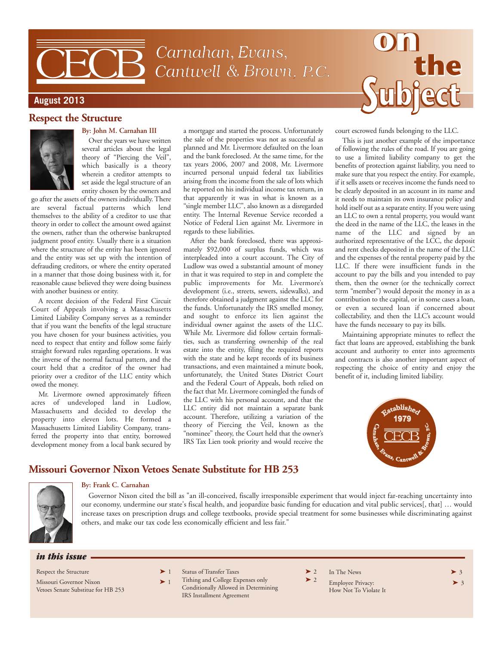# Carnahan, Evans, Cantwell & Brown, P.C.

#### **August 2013**

#### **Respect the Structure**



#### **By: John M. Carnahan III**

Over the years we have written several articles about the legal theory of "Piercing the Veil", which basically is a theory wherein a creditor attempts to set aside the legal structure of an entity chosen by the owners and

go after the assets of the owners individually. There are several factual patterns which lend themselves to the ability of a creditor to use that theory in order to collect the amount owed against the owners, rather than the otherwise bankrupted judgment proof entity. Usually there is a situation where the structure of the entity has been ignored and the entity was set up with the intention of defrauding creditors, or where the entity operated in a manner that those doing business with it, for reasonable cause believed they were doing business with another business or entity.

A recent decision of the Federal First Circuit Court of Appeals involving a Massachusetts Limited Liability Company serves as a reminder that if you want the benefits of the legal structure you have chosen for your business activities, you need to respect that entity and follow some fairly straight forward rules regarding operations. It was the inverse of the normal factual pattern, and the court held that a creditor of the owner had priority over a creditor of the LLC entity which owed the money.

Mr. Livermore owned approximately fifteen acres of undeveloped land in Ludlow, Massachusetts and decided to develop the property into eleven lots. He formed a Massachusetts Limited Liability Company, transferred the property into that entity, borrowed development money from a local bank secured by a mortgage and started the process. Unfortunately the sale of the properties was not as successful as planned and Mr. Livermore defaulted on the loan and the bank foreclosed. At the same time, for the tax years 2006, 2007 and 2008, Mr. Livermore incurred personal unpaid federal tax liabilities arising from the income from the sale of lots which he reported on his individual income tax return, in that apparently it was in what is known as a "single member LLC", also known as a disregarded entity. The Internal Revenue Service recorded a Notice of Federal Lien against Mr. Livermore in regards to these liabilities.

After the bank foreclosed, there was approximately \$92,000 of surplus funds, which was interpleaded into a court account. The City of Ludlow was owed a substantial amount of money in that it was required to step in and complete the public improvements for Mr. Livermore's development (i.e., streets, sewers, sidewalks), and therefore obtained a judgment against the LLC for the funds. Unfortunately the IRS smelled money, and sought to enforce its lien against the individual owner against the assets of the LLC. While Mr. Livermore did follow certain formalities, such as transferring ownership of the real estate into the entity, filing the required reports with the state and he kept records of its business transactions, and even maintained a minute book, unfortunately, the United States District Court and the Federal Court of Appeals, both relied on the fact that Mr. Livermore comingled the funds of the LLC with his personal account, and that the LLC entity did not maintain a separate bank account. Therefore, utilizing a variation of the theory of Piercing the Veil, known as the "nominee" theory, the Court held that the owner's IRS Tax Lien took priority and would receive the court escrowed funds belonging to the LLC.

This is just another example of the importance of following the rules of the road. If you are going to use a limited liability company to get the benefits of protection against liability, you need to make sure that you respect the entity. For example, if it sells assets or receives income the funds need to be clearly deposited in an account in its name and it needs to maintain its own insurance policy and hold itself out as a separate entity. If you were using an LLC to own a rental property, you would want the deed in the name of the LLC, the leases in the name of the LLC and signed by an authorized representative of the LCC, the deposit and rent checks deposited in the name of the LLC and the expenses of the rental property paid by the LLC. If there were insufficient funds in the account to pay the bills and you intended to pay them, then the owner (or the technically correct term "member") would deposit the money in as a contribution to the capital, or in some cases a loan, or even a secured loan if concerned about collectability, and then the LLC's account would have the funds necessary to pay its bills.

Maintaining appropriate minutes to reflect the fact that loans are approved, establishing the bank account and authority to enter into agreements and contracts is also another important aspect of respecting the choice of entity and enjoy the benefit of it, including limited liability.



## **Missouri Governor Nixon Vetoes Senate Substitute for HB 253**



#### **By: Frank C. Carnahan**

Governor Nixon cited the bill as "an ill-conceived, fiscally irresponsible experiment that would inject far-reaching uncertainty into our economy, undermine our state's fiscal health, and jeopardize basic funding for education and vital public services[, that] … would increase taxes on prescription drugs and college textbooks, provide special treatment for some businesses while discriminating against others, and make our tax code less economically efficient and less fair."

#### *in this issue*

- Respect the Structure  $\blacktriangleright$  1 Missouri Governor Nixon  $\blacktriangleright$  1 Vetoes Senate Substitue for HB 253
- Status of Transfer Taxes  $2$ 
	- Tithing and College Expenses only  $\triangleright$  2 Conditionally Allowed in Determining IRS Installment Agreement
- In The News  $\rightarrow$  3
	- Employee Privacy:  $> 3$
	- How Not To Violate It
- 
-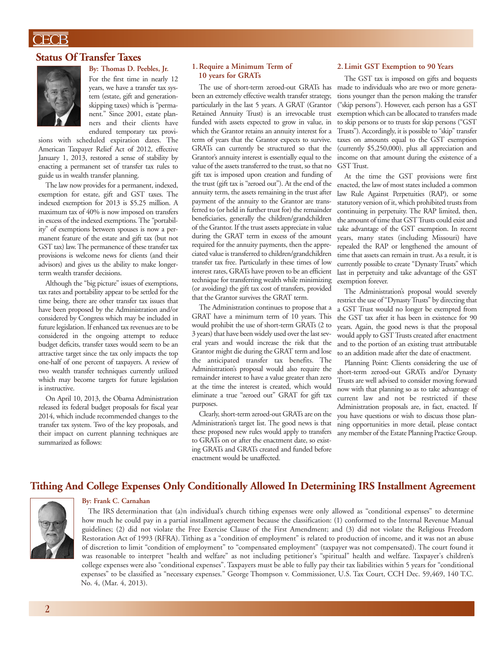## $\overline{\text{CFCB}}$

#### **Status Of Transfer Taxes**



**By: Thomas D. Peebles, Jr.** For the first time in nearly 12 years, we have a transfer tax system (estate, gift and generationskipping taxes) which is "permanent." Since 2001, estate planners and their clients have endured temporary tax provi-

sions with scheduled expiration dates. The American Taxpayer Relief Act of 2012, effective January 1, 2013, restored a sense of stability by enacting a permanent set of transfer tax rules to guide us in wealth transfer planning.

The law now provides for a permanent, indexed, exemption for estate, gift and GST taxes. The indexed exemption for 2013 is \$5.25 million. A maximum tax of 40% is now imposed on transfers in excess of the indexed exemptions.The "portability" of exemptions between spouses is now a permanent feature of the estate and gift tax (but not GST tax) law. The permanence of these transfer tax provisions is welcome news for clients (and their advisors) and gives us the ability to make longerterm wealth transfer decisions.

Although the "big picture" issues of exemptions, tax rates and portability appear to be settled for the time being, there are other transfer tax issues that have been proposed by the Administration and/or considered by Congress which may be included in future legislation. If enhanced tax revenues are to be considered in the ongoing attempt to reduce budget deficits, transfer taxes would seem to be an attractive target since the tax only impacts the top one-half of one percent of taxpayers. A review of two wealth transfer techniques currently utilized which may become targets for future legislation is instructive.

On April 10, 2013, the Obama Administration released its federal budget proposals for fiscal year 2014, which include recommended changes to the transfer tax system. Two of the key proposals, and their impact on current planning techniques are summarized as follows:

#### **1.Require a Minimum Term of 10 years for GRATs**

been an extremely effective wealth transfer strategy, particularly in the last 5 years. A GRAT (Grantor Retained Annuity Trust) is an irrevocable trust funded with assets expected to grow in value, in which the Grantor retains an annuity interest for a term of years that the Grantor expects to survive. GRATs can currently be structured so that the Grantor's annuity interest is essentially equal to the value of the assets transferred to the trust, so that no gift tax is imposed upon creation and funding of the trust (gift tax is "zeroed out"). At the end of the annuity term, the assets remaining in the trust after payment of the annuity to the Grantor are transferred to (or held in further trust for) the remainder beneficiaries, generally the children/grandchildren of the Grantor. If the trust assets appreciate in value during the GRAT term in excess of the amount required for the annuity payments, then the appreciated value is transferred to children/grandchildren transfer tax free. Particularly in these times of low interest rates, GRATs have proven to be an efficient technique for transferring wealth while minimizing (or avoiding) the gift tax cost of transfers, provided that the Grantor survives the GRAT term.

The Administration continues to propose that a GRAT have a minimum term of 10 years. This would prohibit the use of short-term GRATs (2 to 3 years) that have been widely used over the last several years and would increase the risk that the Grantor might die during the GRAT term and lose the anticipated transfer tax benefits. The Administration's proposal would also require the remainder interest to have a value greater than zero at the time the interest is created, which would eliminate a true "zeroed out" GRAT for gift tax purposes.

Clearly, short-term zeroed-out GRATs are on the Administration's target list. The good news is that these proposed new rules would apply to transfers to GRATs on or after the enactment date, so existing GRATs and GRATs created and funded before enactment would be unaffected.

#### **2.Limit GST Exemption to 90 Years**

The GST tax is imposed on gifts and bequests The use of short-term zeroed-out GRATs has made to individuals who are two or more generations younger than the person making the transfer ("skip persons"). However, each person has a GST exemption which can be allocated to transfers made to skip persons or to trusts for skip persons ("GST Trusts"). Accordingly, it is possible to "skip" transfer taxes on amounts equal to the GST exemption (currently \$5,250,000), plus all appreciation and income on that amount during the existence of a GST Trust.

> At the time the GST provisions were first enacted, the law of most states included a common law Rule Against Perpetuities (RAP), or some statutory version of it, which prohibited trusts from continuing in perpetuity. The RAP limited, then, the amount of time that GST Trusts could exist and take advantage of the GST exemption. In recent years, many states (including Missouri) have repealed the RAP or lengthened the amount of time that assets can remain in trust. As a result, it is currently possible to create "Dynasty Trusts" which last in perpetuity and take advantage of the GST exemption forever.

> The Administration's proposal would severely restrict the use of "Dynasty Trusts" by directing that a GST Trust would no longer be exempted from the GST tax after it has been in existence for 90 years. Again, the good news is that the proposal would apply to GST Trusts created after enactment and to the portion of an existing trust attributable to an addition made after the date of enactment.

> Planning Point: Clients considering the use of short-term zeroed-out GRATs and/or Dynasty Trusts are well advised to consider moving forward now with that planning so as to take advantage of current law and not be restricted if these Administration proposals are, in fact, enacted. If you have questions or wish to discuss those planning opportunities in more detail, please contact any member of the Estate Planning Practice Group.

#### **Tithing And College Expenses Only Conditionally Allowed In Determining IRS Installment Agreement**



#### **By: Frank C. Carnahan**

The IRS determination that (a)n individual's church tithing expenses were only allowed as "conditional expenses" to determine how much he could pay in a partial installment agreement because the classification: (1) conformed to the Internal Revenue Manual guidelines; (2) did not violate the Free Exercise Clause of the First Amendment; and (3) did not violate the Religious Freedom Restoration Act of 1993 (RFRA). Tithing as a "condition of employment" is related to production of income, and it was not an abuse of discretion to limit "condition of employment" to "compensated employment" (taxpayer was not compensated). The court found it was reasonable to interpret "health and welfare" as not including petitioner's "spiritual" health and welfare. Taxpayer's children's college expenses were also "conditional expenses". Taxpayers must be able to fully pay their tax liabilities within 5 years for "conditional expenses" to be classified as "necessary expenses." George Thompson v. Commissioner, U.S. Tax Court, CCH Dec. 59,469, 140 T.C. No. 4, (Mar. 4, 2013).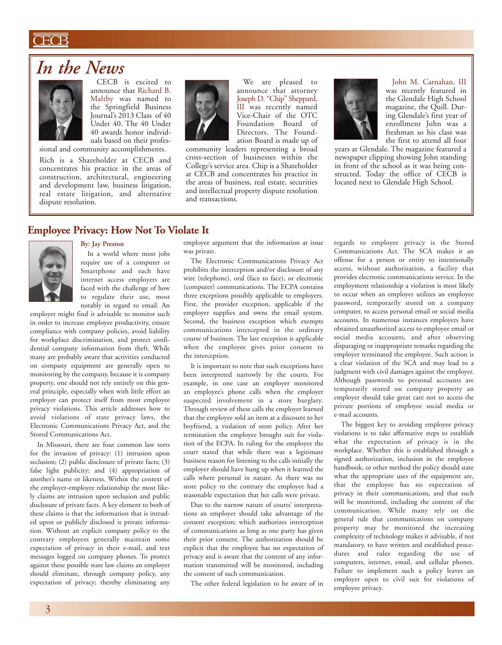## ECB

## *In the News*



CECB is excited to announce that Richard B. Maltby was named to the Springfield Business Journal's 2013 Class of 40 Under 40. The 40 Under 40 awards honor individuals based on their profes-

sional and community accomplishments. Rich is a Shareholder at CECB and concentrates his practice in the areas of construction, architectural, engineering and development law, business litigation, real estate litigation, and alternative dispute resolution.



We are pleased to announce that attorney Joseph D. "Chip" Sheppard, III was recently named Vice-Chair of the OTC Foundation Board of Directors. The Foundation Board is made up of

community leaders representing a broad cross-section of businesses within the College's service area. Chip is a Shareholder at CECB and concentrates his practice in the areas of business, real estate, securities and intellectual property dispute resolution and transactions.

John M. Carnahan, III was recently featured in the Glendale High School magazine, the Quill. During Glendale's first year of enrollment John was a freshman so his class was the first to attend all four

years at Glendale. The magazine featured a newspaper clipping showing John standing in front of the school as it was being constructed. Today the office of CECB is located next to Glendale High School.

## **Employee Privacy: How Not To Violate It**



#### **By: Jay Preston**

In a world where most jobs require use of a computer or Smartphone and each have internet access employers are faced with the challenge of how to regulate their use, most notably in regard to email. An

employer might find it advisable to monitor such in order to increase employee productivity, ensure compliance with company policies, avoid liability for workplace discrimination, and protect confidential company information from theft. While many are probably aware that activities conducted on company equipment are generally open to monitoring by the company, because it is company property, one should not rely entirely on this general principle, especially when with little effort an employer can protect itself from most employee privacy violations. This article addresses how to avoid violations of state privacy laws, the Electronic Communications Privacy Act, and the Stored Communications Act.

In Missouri, there are four common law torts for the invasion of privacy: (1) intrusion upon seclusion; (2) public disclosure of private facts; (3) false light publicity; and (4) appropriation of another's name or likeness. Within the context of the employer-employee relationship the most likely claims are intrusion upon seclusion and public disclosure of private facts. A key element to both of these claims is that the information that is intruded upon or publicly disclosed is private information. Without an explicit company policy to the contrary employees generally maintain some expectation of privacy in their e-mail, and text messages logged on company phones. To protect against these possible state law claims an employer should eliminate, through company policy, any expectation of privacy; thereby eliminating any

employee argument that the information at issue was private.

The Electronic Communications Privacy Act prohibits the interception and/or disclosure of any wire (telephone), oral (face to face), or electronic (computer) communications. The ECPA contains three exceptions possibly applicable to employers. First, the provider exception, applicable if the employer supplies and owns the email system. Second, the business exception which exempts communications intercepted in the ordinary course of business. The last exception is applicable when the employee gives prior consent to the interception.

It is important to note that such exceptions have been interpreted narrowly by the courts. For example, in one case an employer monitored an employee's phone calls when the employer suspected involvement in a store burglary. Through review of these calls the employer learned that the employee sold an item at a discount to her boyfriend, a violation of store policy. After her termination the employee brought suit for violation of the ECPA. In ruling for the employee the court stated that while there was a legitimate business reason for listening to the calls initially the employer should have hung up when it learned the calls where personal in nature. As there was no store policy to the contrary the employee had a reasonable expectation that her calls were private.

Due to the narrow nature of courts' interpretations an employer should take advantage of the consent exception; which authorizes interception of communications as long as one party has given their prior consent. The authorization should be explicit that the employee has no expectation of privacy and is aware that the content of any information transmitted will be monitored, including the content of such communication.

The other federal legislation to be aware of in

regards to employee privacy is the Stored Communications Act. The SCA makes it an offense for a person or entity to intentionally access, without authorization, a facility that provides electronic communications service. In the employment relationship a violation is most likely to occur when an employer utilizes an employee password, temporarily stored on a company computer, to access personal email or social media accounts. In numerous instances employers have obtained unauthorized access to employee email or social media accounts, and after observing disparaging or inappropriate remarks regarding the employer terminated the employee. Such action is a clear violation of the SCA and may lead to a judgment with civil damages against the employer. Although passwords to personal accounts are temporarily stored on company property an employer should take great care not to access the private portions of employee social media or e-mail accounts.

The biggest key to avoiding employee privacy violations is to take affirmative steps to establish what the expectation of privacy is in the workplace. Whether this is established through a signed authorization, inclusion in the employee handbook, or other method the policy should state what the appropriate uses of the equipment are, that the employee has no expectation of privacy in their communications, and that such will be monitored, including the content of the communication. While many rely on the general rule that communications on company property may be monitored the increasing complexity of technology makes it advisable, if not mandatory, to have written and established procedures and rules regarding the use of computers, internet, email, and cellular phones. Failure to implement such a policy leaves an employer open to civil suit for violations of employee privacy.